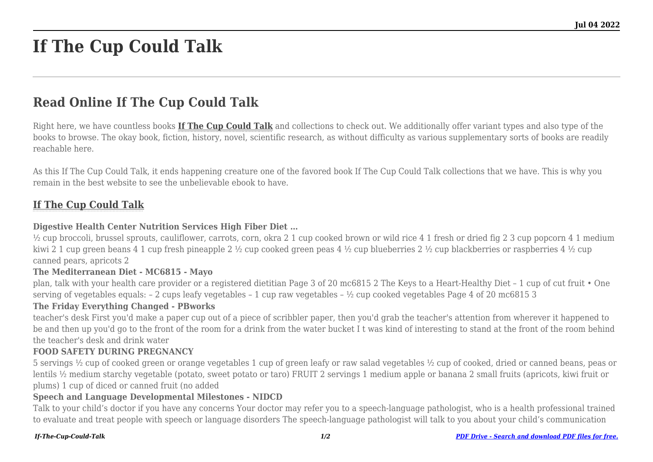# **If The Cup Could Talk**

# **Read Online If The Cup Could Talk**

Right here, we have countless books **[If The Cup Could Talk](http://goldwoodgardens.com)** and collections to check out. We additionally offer variant types and also type of the books to browse. The okay book, fiction, history, novel, scientific research, as without difficulty as various supplementary sorts of books are readily reachable here.

As this If The Cup Could Talk, it ends happening creature one of the favored book If The Cup Could Talk collections that we have. This is why you remain in the best website to see the unbelievable ebook to have.

# **[If The Cup Could Talk](http://goldwoodgardens.com/If-The-Cup-Could-Talk.pdf)**

# **Digestive Health Center Nutrition Services High Fiber Diet …**

 $\frac{1}{2}$  cup broccoli, brussel sprouts, cauliflower, carrots, corn, okra 2 1 cup cooked brown or wild rice 4 1 fresh or dried fig 2 3 cup popcorn 4 1 medium kiwi 2 1 cup green beans 4 1 cup fresh pineapple 2 ½ cup cooked green peas 4 ½ cup blueberries 2 ½ cup blackberries or raspberries 4 ½ cup canned pears, apricots 2

#### **The Mediterranean Diet - MC6815 - Mayo**

plan, talk with your health care provider or a registered dietitian Page 3 of 20 mc6815 2 The Keys to a Heart-Healthy Diet – 1 cup of cut fruit • One serving of vegetables equals: – 2 cups leafy vegetables – 1 cup raw vegetables – ½ cup cooked vegetables Page 4 of 20 mc6815 3

#### **The Friday Everything Changed - PBworks**

teacher's desk First you'd make a paper cup out of a piece of scribbler paper, then you'd grab the teacher's attention from wherever it happened to be and then up you'd go to the front of the room for a drink from the water bucket I t was kind of interesting to stand at the front of the room behind the teacher's desk and drink water

#### **FOOD SAFETY DURING PREGNANCY**

5 servings ½ cup of cooked green or orange vegetables 1 cup of green leafy or raw salad vegetables ½ cup of cooked, dried or canned beans, peas or lentils ½ medium starchy vegetable (potato, sweet potato or taro) FRUIT 2 servings 1 medium apple or banana 2 small fruits (apricots, kiwi fruit or plums) 1 cup of diced or canned fruit (no added

#### **Speech and Language Developmental Milestones - NIDCD**

Talk to your child's doctor if you have any concerns Your doctor may refer you to a speech-language pathologist, who is a health professional trained to evaluate and treat people with speech or language disorders The speech-language pathologist will talk to you about your child's communication